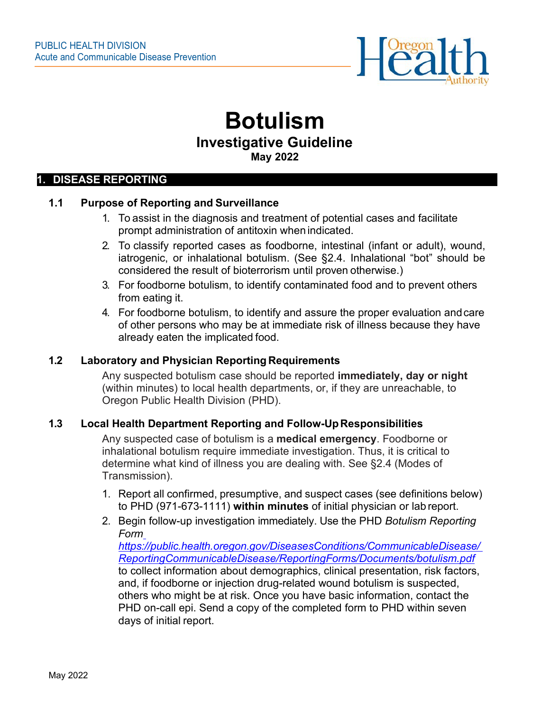

# **Botulism Investigative Guideline May 2022**

#### **1. DISEASE REPORTING**

#### **1.1 Purpose of Reporting and Surveillance**

- 1. To assist in the diagnosis and treatment of potential cases and facilitate prompt administration of antitoxin when indicated.
- 2. To classify reported cases as foodborne, intestinal (infant or adult), wound, iatrogenic, or inhalational botulism. (See §2.4. Inhalational "bot" should be considered the result of bioterrorism until proven otherwise.)
- 3. For foodborne botulism, to identify contaminated food and to prevent others from eating it.
- 4. For foodborne botulism, to identify and assure the proper evaluation andcare of other persons who may be at immediate risk of illness because they have already eaten the implicated food.

#### **1.2 Laboratory and Physician Reporting Requirements**

Any suspected botulism case should be reported **immediately, day or night**  (within minutes) to local health departments, or, if they are unreachable, to Oregon Public Health Division (PHD).

#### **1.3 Local Health Department Reporting and Follow-UpResponsibilities**

Any suspected case of botulism is a **medical emergency**. Foodborne or inhalational botulism require immediate investigation. Thus, it is critical to determine what kind of illness you are dealing with. See §2.4 (Modes of Transmission).

- 1. Report all confirmed, presumptive, and suspect cases (see definitions below) to PHD (971-673-1111) **within minutes** of initial physician or lab report.
- 2. Begin follow-up investigation immediately. Use the PHD *Botulism Reporting Form*

*[https://public.health.oregon.gov/DiseasesConditions/CommunicableDisease/](https://public.health.oregon.gov/DiseasesConditions/CommunicableDisease/ReportingCommunicableDisease/ReportingForms/Documents/botulism.pdf) [ReportingCommunicableDisease/ReportingForms/Documents/botulism.pdf](https://public.health.oregon.gov/DiseasesConditions/CommunicableDisease/ReportingCommunicableDisease/ReportingForms/Documents/botulism.pdf)* to collect information about demographics, clinical presentation, risk factors, and, if foodborne or injection drug-related wound botulism is suspected, others who might be at risk. Once you have basic information, contact the PHD on-call epi. Send a copy of the completed form to PHD within seven days of initial report.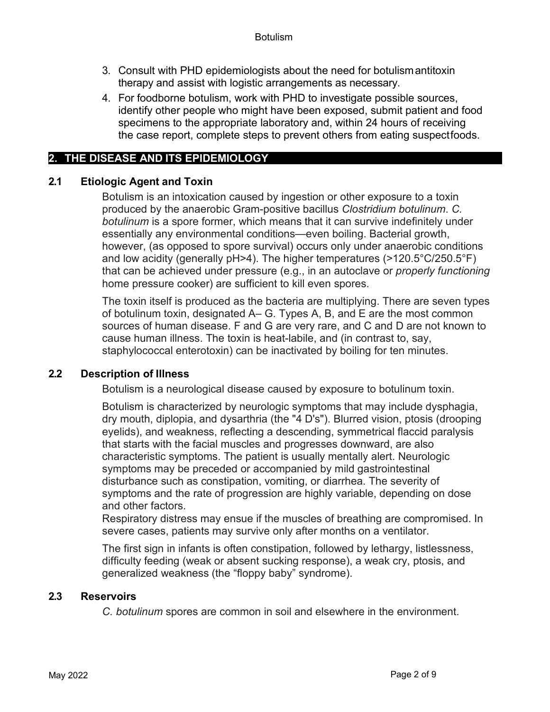- 3. Consult with PHD epidemiologists about the need for botulismantitoxin therapy and assist with logistic arrangements as necessary.
- 4. For foodborne botulism, work with PHD to investigate possible sources, identify other people who might have been exposed, submit patient and food specimens to the appropriate laboratory and, within 24 hours of receiving the case report, complete steps to prevent others from eating suspectfoods.

# **2. THE DISEASE AND ITS EPIDEMIOLOGY**

## **2.1 Etiologic Agent and Toxin**

Botulism is an intoxication caused by ingestion or other exposure to a toxin produced by the anaerobic Gram-positive bacillus *Clostridium botulinum*. *C. botulinum* is a spore former, which means that it can survive indefinitely under essentially any environmental conditions—even boiling. Bacterial growth, however, (as opposed to spore survival) occurs only under anaerobic conditions and low acidity (generally pH>4). The higher temperatures (>120.5°C/250.5°F) that can be achieved under pressure (e.g., in an autoclave or *properly functioning*  home pressure cooker) are sufficient to kill even spores.

The toxin itself is produced as the bacteria are multiplying. There are seven types of botulinum toxin, designated A– G. Types A, B, and E are the most common sources of human disease. F and G are very rare, and C and D are not known to cause human illness. The toxin is heat-labile, and (in contrast to, say, staphylococcal enterotoxin) can be inactivated by boiling for ten minutes.

## **2.2 Description of Illness**

Botulism is a neurological disease caused by exposure to botulinum toxin.

Botulism is characterized by neurologic symptoms that may include dysphagia, dry mouth, diplopia, and dysarthria (the "4 D's"). Blurred vision, ptosis (drooping eyelids), and weakness, reflecting a descending, symmetrical flaccid paralysis that starts with the facial muscles and progresses downward, are also characteristic symptoms. The patient is usually mentally alert. Neurologic symptoms may be preceded or accompanied by mild gastrointestinal disturbance such as constipation, vomiting, or diarrhea. The severity of symptoms and the rate of progression are highly variable, depending on dose and other factors.

Respiratory distress may ensue if the muscles of breathing are compromised. In severe cases, patients may survive only after months on a ventilator.

The first sign in infants is often constipation, followed by lethargy, listlessness, difficulty feeding (weak or absent sucking response), a weak cry, ptosis, and generalized weakness (the "floppy baby" syndrome).

## **2.3 Reservoirs**

*C. botulinum* spores are common in soil and elsewhere in the environment.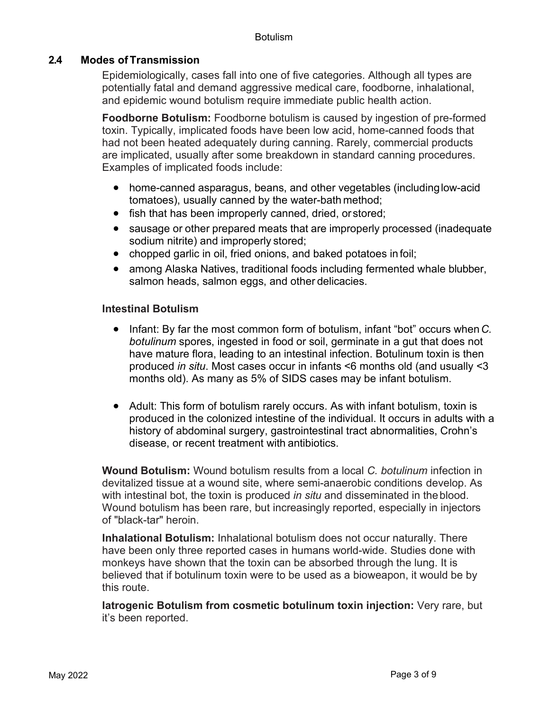#### **2.4 Modes of Transmission**

Epidemiologically, cases fall into one of five categories. Although all types are potentially fatal and demand aggressive medical care, foodborne, inhalational, and epidemic wound botulism require immediate public health action.

**Foodborne Botulism:** Foodborne botulism is caused by ingestion of pre-formed toxin. Typically, implicated foods have been low acid, home-canned foods that had not been heated adequately during canning. Rarely, commercial products are implicated, usually after some breakdown in standard canning procedures. Examples of implicated foods include:

- home-canned asparagus, beans, and other vegetables (includinglow-acid tomatoes), usually canned by the water-bath method;
- fish that has been improperly canned, dried, or stored:
- sausage or other prepared meats that are improperly processed (inadequate sodium nitrite) and improperly stored;
- chopped garlic in oil, fried onions, and baked potatoes in foil;
- among Alaska Natives, traditional foods including fermented whale blubber, salmon heads, salmon eggs, and other delicacies.

#### **Intestinal Botulism**

- Infant: By far the most common form of botulism, infant "bot" occurs when*C. botulinum* spores, ingested in food or soil, germinate in a gut that does not have mature flora, leading to an intestinal infection. Botulinum toxin is then produced *in situ*. Most cases occur in infants <6 months old (and usually <3 months old). As many as 5% of SIDS cases may be infant botulism.
- Adult: This form of botulism rarely occurs. As with infant botulism, toxin is produced in the colonized intestine of the individual. It occurs in adults with a history of abdominal surgery, gastrointestinal tract abnormalities, Crohn's disease, or recent treatment with antibiotics.

**Wound Botulism:** Wound botulism results from a local *C. botulinum* infection in devitalized tissue at a wound site, where semi-anaerobic conditions develop. As with intestinal bot, the toxin is produced *in situ* and disseminated in theblood. Wound botulism has been rare, but increasingly reported, especially in injectors of "black-tar" heroin.

**Inhalational Botulism:** Inhalational botulism does not occur naturally. There have been only three reported cases in humans world-wide. Studies done with monkeys have shown that the toxin can be absorbed through the lung. It is believed that if botulinum toxin were to be used as a bioweapon, it would be by this route.

**Iatrogenic Botulism from cosmetic botulinum toxin injection:** Very rare, but it's been reported.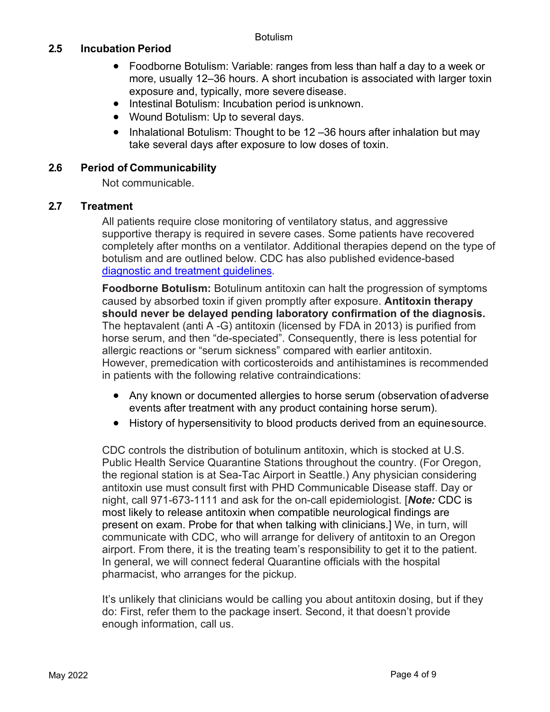## **2.5 Incubation Period**

- Foodborne Botulism: Variable: ranges from less than half a day to a week or more, usually 12–36 hours. A short incubation is associated with larger toxin exposure and, typically, more severe disease.
- Intestinal Botulism: Incubation period isunknown.
- Wound Botulism: Up to several days.
- Inhalational Botulism: Thought to be 12 -36 hours after inhalation but may take several days after exposure to low doses of toxin.

#### **2.6 Period of Communicability**

Not communicable.

## **2.7 Treatment**

All patients require close monitoring of ventilatory status, and aggressive supportive therapy is required in severe cases. Some patients have recovered completely after months on a ventilator. Additional therapies depend on the type of botulism and are outlined below. CDC has also published evidence-based [diagnostic and treatment guidelines.](https://www.cdc.gov/mmwr/volumes/70/rr/rr7002a1.htm?s_cid=rr7002a1_e&ACSTrackingID=USCDC_921-DM56674&ACSTrackingLabel=This%20Week%20in%20MMWR%20-%20Vol.%2070%2C%20May%207%2C%202021&deliveryName=USCDC_921-DM56674)

**Foodborne Botulism:** Botulinum antitoxin can halt the progression of symptoms caused by absorbed toxin if given promptly after exposure. **Antitoxin therapy should never be delayed pending laboratory confirmation of the diagnosis.**  The heptavalent (anti A -G) antitoxin (licensed by FDA in 2013) is purified from horse serum, and then "de-speciated". Consequently, there is less potential for allergic reactions or "serum sickness" compared with earlier antitoxin. However, premedication with corticosteroids and antihistamines is recommended in patients with the following relative contraindications:

- Any known or documented allergies to horse serum (observation ofadverse events after treatment with any product containing horse serum).
- History of hypersensitivity to blood products derived from an equinesource.

CDC controls the distribution of botulinum antitoxin, which is stocked at U.S. Public Health Service Quarantine Stations throughout the country. (For Oregon, the regional station is at Sea-Tac Airport in Seattle.) Any physician considering antitoxin use must consult first with PHD Communicable Disease staff. Day or night, call 971-673-1111 and ask for the on-call epidemiologist. [*Note:* CDC is most likely to release antitoxin when compatible neurological findings are present on exam. Probe for that when talking with clinicians.] We, in turn, will communicate with CDC, who will arrange for delivery of antitoxin to an Oregon airport. From there, it is the treating team's responsibility to get it to the patient. In general, we will connect federal Quarantine officials with the hospital pharmacist, who arranges for the pickup.

It's unlikely that clinicians would be calling you about antitoxin dosing, but if they do: First, refer them to the package insert. Second, it that doesn't provide enough information, call us.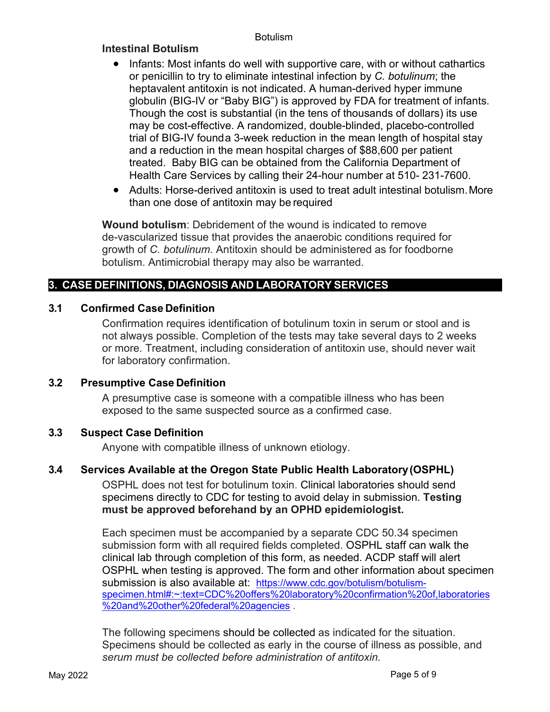#### **Botulism**

## **Intestinal Botulism**

- Infants: Most infants do well with supportive care, with or without cathartics or penicillin to try to eliminate intestinal infection by *C. botulinum*; the heptavalent antitoxin is not indicated. A human-derived hyper immune globulin (BIG-IV or "Baby BIG") is approved by FDA for treatment of infants. Though the cost is substantial (in the tens of thousands of dollars) its use may be cost-effective. A randomized, double-blinded, placebo-controlled trial of BIG-IV founda 3-week reduction in the mean length of hospital stay and a reduction in the mean hospital charges of \$88,600 per patient treated. Baby BIG can be obtained from the California Department of Health Care Services by calling their 24-hour number at 510- 231-7600.
- Adults: Horse-derived antitoxin is used to treat adult intestinal botulism.More than one dose of antitoxin may be required

**Wound botulism**: Debridement of the wound is indicated to remove de-vascularized tissue that provides the anaerobic conditions required for growth of *C. botulinum*. Antitoxin should be administered as for foodborne botulism. Antimicrobial therapy may also be warranted.

## **3. CASE DEFINITIONS, DIAGNOSIS AND LABORATORY SERVICES**

## **3.1 Confirmed Case Definition**

Confirmation requires identification of botulinum toxin in serum or stool and is not always possible. Completion of the tests may take several days to 2 weeks or more. Treatment, including consideration of antitoxin use, should never wait for laboratory confirmation.

#### **3.2 Presumptive Case Definition**

A presumptive case is someone with a compatible illness who has been exposed to the same suspected source as a confirmed case.

#### **3.3 Suspect Case Definition**

Anyone with compatible illness of unknown etiology.

## **3.4 Services Available at the Oregon State Public Health Laboratory(OSPHL)**

OSPHL does not test for botulinum toxin. Clinical laboratories should send specimens directly to CDC for testing to avoid delay in submission. **Testing must be approved beforehand by an OPHD epidemiologist.** 

Each specimen must be accompanied by a separate CDC 50.34 specimen submission form with all required fields completed. OSPHL staff can walk the clinical lab through completion of this form, as needed. ACDP staff will alert OSPHL when testing is approved. The form and other information about specimen submission is also available at: [https://www.cdc.gov/botulism/botulism](https://www.cdc.gov/botulism/botulism-specimen.html#:%7E:text=CDC%20offers%20laboratory%20confirmation%20of,laboratories%20and%20other%20federal%20agencies)[specimen.html#:~:text=CDC%20offers%20laboratory%20confirmation%20of,laboratories](https://www.cdc.gov/botulism/botulism-specimen.html#:%7E:text=CDC%20offers%20laboratory%20confirmation%20of,laboratories%20and%20other%20federal%20agencies) [%20and%20other%20federal%20agencies](https://www.cdc.gov/botulism/botulism-specimen.html#:%7E:text=CDC%20offers%20laboratory%20confirmation%20of,laboratories%20and%20other%20federal%20agencies) .

The following specimens should be collected as indicated for the situation. Specimens should be collected as early in the course of illness as possible, and *serum must be collected before administration of antitoxin.*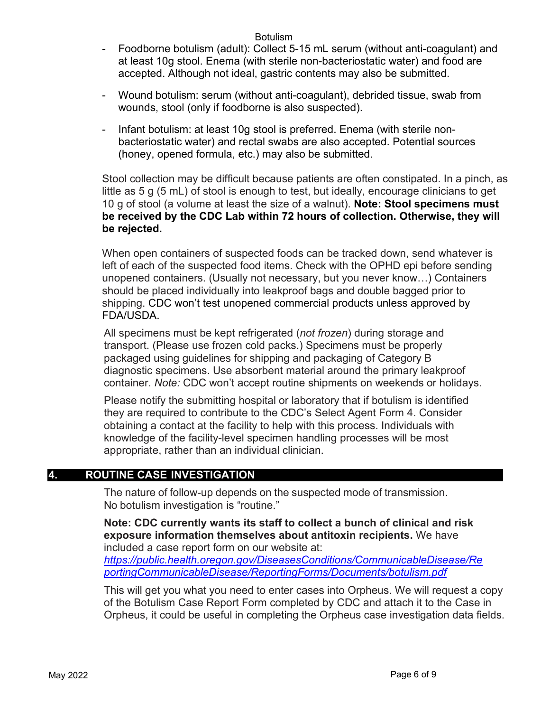#### Botulism

- Foodborne botulism (adult): Collect 5-15 mL serum (without anti-coagulant) and at least 10g stool. Enema (with sterile non-bacteriostatic water) and food are accepted. Although not ideal, gastric contents may also be submitted.
- Wound botulism: serum (without anti-coagulant), debrided tissue, swab from wounds, stool (only if foodborne is also suspected).
- Infant botulism: at least 10g stool is preferred. Enema (with sterile nonbacteriostatic water) and rectal swabs are also accepted. Potential sources (honey, opened formula, etc.) may also be submitted.

Stool collection may be difficult because patients are often constipated. In a pinch, as little as 5 g (5 mL) of stool is enough to test, but ideally, encourage clinicians to get 10 g of stool (a volume at least the size of a walnut). **Note: Stool specimens must be received by the CDC Lab within 72 hours of collection. Otherwise, they will be rejected.**

When open containers of suspected foods can be tracked down, send whatever is left of each of the suspected food items. Check with the OPHD epi before sending unopened containers. (Usually not necessary, but you never know…) Containers should be placed individually into leakproof bags and double bagged prior to shipping. CDC won't test unopened commercial products unless approved by FDA/USDA.

All specimens must be kept refrigerated (*not frozen*) during storage and transport. (Please use frozen cold packs.) Specimens must be properly packaged using guidelines for shipping and packaging of Category B diagnostic specimens. Use absorbent material around the primary leakproof container. *Note:* CDC won't accept routine shipments on weekends or holidays.

Please notify the submitting hospital or laboratory that if botulism is identified they are required to contribute to the CDC's Select Agent Form 4. Consider obtaining a contact at the facility to help with this process. Individuals with knowledge of the facility-level specimen handling processes will be most appropriate, rather than an individual clinician.

#### **4. ROUTINE CASE INVESTIGATION**

The nature of follow-up depends on the suspected mode of transmission. No botulism investigation is "routine."

**Note: CDC currently wants its staff to collect a bunch of clinical and risk exposure information themselves about antitoxin recipients.** We have included a case report form on our website at:

*[https://public.health.oregon.gov/DiseasesConditions/CommunicableDisease/Re](https://public.health.oregon.gov/DiseasesConditions/CommunicableDisease/Rep) [p](https://public.health.oregon.gov/DiseasesConditions/CommunicableDisease/Rep)[ortingCommunicableDisease/ReportingForms/Documents/botulism.pdf](https://public.health.oregon.gov/DiseasesConditions/CommunicableDisease/ReportingCommunicableDisease/ReportingForms/Documents/botulism.pdf)*

This will get you what you need to enter cases into Orpheus. We will request a copy of the Botulism Case Report Form completed by CDC and attach it to the Case in Orpheus, it could be useful in completing the Orpheus case investigation data fields.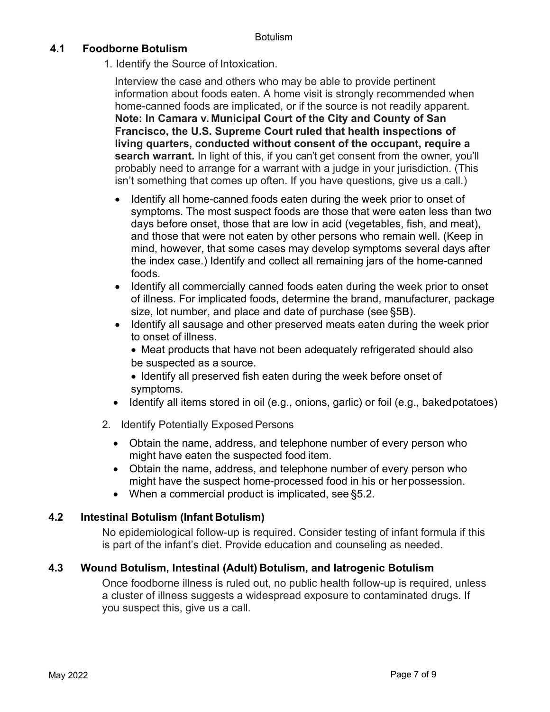## **4.1 Foodborne Botulism**

1. Identify the Source of Intoxication.

Interview the case and others who may be able to provide pertinent information about foods eaten. A home visit is strongly recommended when home-canned foods are implicated, or if the source is not readily apparent. **Note: In Camara v. Municipal Court of the City and County of San Francisco, the U.S. Supreme Court ruled that health inspections of living quarters, conducted without consent of the occupant, require a search warrant.** In light of this, if you can't get consent from the owner, you'll probably need to arrange for a warrant with a judge in your jurisdiction. (This isn't something that comes up often. If you have questions, give us a call.)

- Identify all home-canned foods eaten during the week prior to onset of symptoms. The most suspect foods are those that were eaten less than two days before onset, those that are low in acid (vegetables, fish, and meat), and those that were not eaten by other persons who remain well. (Keep in mind, however, that some cases may develop symptoms several days after the index case.) Identify and collect all remaining jars of the home-canned foods.
- Identify all commercially canned foods eaten during the week prior to onset of illness. For implicated foods, determine the brand, manufacturer, package size, lot number, and place and date of purchase (see §5B).
- Identify all sausage and other preserved meats eaten during the week prior to onset of illness.
	- Meat products that have not been adequately refrigerated should also be suspected as a source.
	- Identify all preserved fish eaten during the week before onset of symptoms.
- Identify all items stored in oil (e.g., onions, garlic) or foil (e.g., bakedpotatoes)
- 2. Identify Potentially Exposed Persons
	- Obtain the name, address, and telephone number of every person who might have eaten the suspected food item.
	- Obtain the name, address, and telephone number of every person who might have the suspect home-processed food in his or her possession.
	- When a commercial product is implicated, see §5.2.

## **4.2 Intestinal Botulism (Infant Botulism)**

No epidemiological follow-up is required. Consider testing of infant formula if this is part of the infant's diet. Provide education and counseling as needed.

## **4.3 Wound Botulism, Intestinal (Adult) Botulism, and Iatrogenic Botulism**

Once foodborne illness is ruled out, no public health follow-up is required, unless a cluster of illness suggests a widespread exposure to contaminated drugs. If you suspect this, give us a call.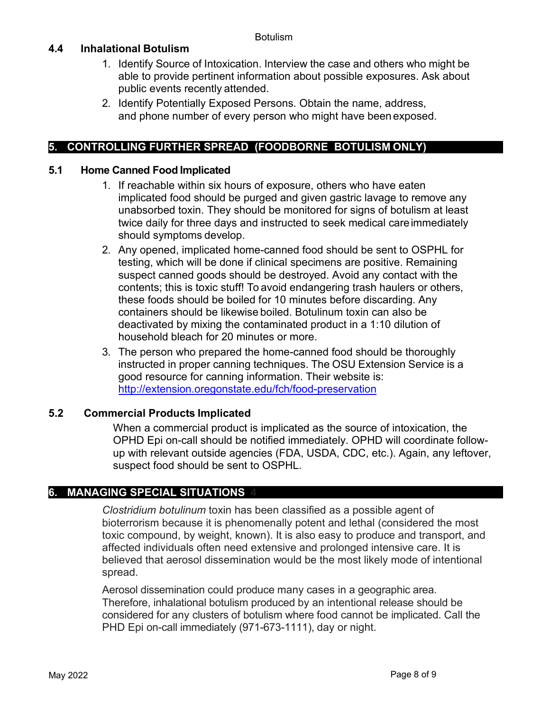## **4.4 Inhalational Botulism**

- 1. Identify Source of Intoxication. Interview the case and others who might be able to provide pertinent information about possible exposures. Ask about public events recently attended.
- 2. Identify Potentially Exposed Persons. Obtain the name, address, and phone number of every person who might have been exposed.

## **5. CONTROLLING FURTHER SPREAD (FOODBORNE BOTULISM ONLY)**

#### **5.1 Home Canned Food Implicated**

- 1. If reachable within six hours of exposure, others who have eaten implicated food should be purged and given gastric lavage to remove any unabsorbed toxin. They should be monitored for signs of botulism at least twice daily for three days and instructed to seek medical careimmediately should symptoms develop.
- 2. Any opened, implicated home-canned food should be sent to OSPHL for testing, which will be done if clinical specimens are positive. Remaining suspect canned goods should be destroyed. Avoid any contact with the contents; this is toxic stuff! To avoid endangering trash haulers or others, these foods should be boiled for 10 minutes before discarding. Any containers should be likewise boiled. Botulinum toxin can also be deactivated by mixing the contaminated product in a 1:10 dilution of household bleach for 20 minutes or more.
- 3. The person who prepared the home-canned food should be thoroughly instructed in proper canning techniques. The OSU Extension Service is a good resource for canning information. Their website is: <http://extension.oregonstate.edu/fch/food-preservation>

#### **5.2 Commercial Products Implicated**

When a commercial product is implicated as the source of intoxication, the OPHD Epi on-call should be notified immediately. OPHD will coordinate followup with relevant outside agencies (FDA, USDA, CDC, etc.). Again, any leftover, suspect food should be sent to OSPHL.

## **6. MANAGING SPECIAL SITUATIONS 4**

*Clostridium botulinum* toxin has been classified as a possible agent of bioterrorism because it is phenomenally potent and lethal (considered the most toxic compound, by weight, known). It is also easy to produce and transport, and affected individuals often need extensive and prolonged intensive care. It is believed that aerosol dissemination would be the most likely mode of intentional spread.

Aerosol dissemination could produce many cases in a geographic area. Therefore, inhalational botulism produced by an intentional release should be considered for any clusters of botulism where food cannot be implicated. Call the PHD Epi on-call immediately (971-673-1111), day or night.